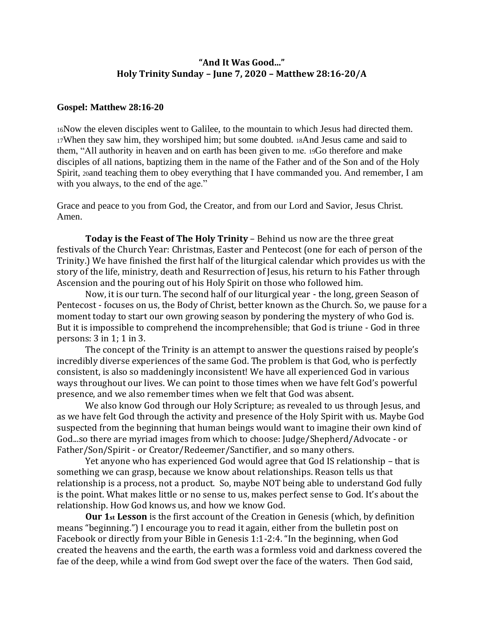## **"And It Was Good..." Holy Trinity Sunday – June 7, 2020 – Matthew 28:16-20/A**

## **Gospel: Matthew 28:16-20**

<sup>16</sup>Now the eleven disciples went to Galilee, to the mountain to which Jesus had directed them. <sup>17</sup>When they saw him, they worshiped him; but some doubted. 18And Jesus came and said to them, "All authority in heaven and on earth has been given to me. 19Go therefore and make disciples of all nations, baptizing them in the name of the Father and of the Son and of the Holy Spirit, 20and teaching them to obey everything that I have commanded you. And remember, I am with you always, to the end of the age."

Grace and peace to you from God, the Creator, and from our Lord and Savior, Jesus Christ. Amen.

**Today is the Feast of The Holy Trinity** – Behind us now are the three great festivals of the Church Year: Christmas, Easter and Pentecost (one for each of person of the Trinity.) We have finished the first half of the liturgical calendar which provides us with the story of the life, ministry, death and Resurrection of Jesus, his return to his Father through Ascension and the pouring out of his Holy Spirit on those who followed him.

Now, it is our turn. The second half of our liturgical year - the long, green Season of Pentecost - focuses on us, the Body of Christ, better known as the Church. So, we pause for a moment today to start our own growing season by pondering the mystery of who God is. But it is impossible to comprehend the incomprehensible; that God is triune - God in three persons: 3 in 1; 1 in 3.

The concept of the Trinity is an attempt to answer the questions raised by people's incredibly diverse experiences of the same God. The problem is that God, who is perfectly consistent, is also so maddeningly inconsistent! We have all experienced God in various ways throughout our lives. We can point to those times when we have felt God's powerful presence, and we also remember times when we felt that God was absent.

We also know God through our Holy Scripture; as revealed to us through Jesus, and as we have felt God through the activity and presence of the Holy Spirit with us. Maybe God suspected from the beginning that human beings would want to imagine their own kind of God...so there are myriad images from which to choose: Judge/Shepherd/Advocate - or Father/Son/Spirit - or Creator/Redeemer/Sanctifier, and so many others.

Yet anyone who has experienced God would agree that God IS relationship – that is something we can grasp, because we know about relationships. Reason tells us that relationship is a process, not a product. So, maybe NOT being able to understand God fully is the point. What makes little or no sense to us, makes perfect sense to God. It's about the relationship. How God knows us, and how we know God.

**Our 1st Lesson** is the first account of the Creation in Genesis (which, by definition means "beginning.") I encourage you to read it again, either from the bulletin post on Facebook or directly from your Bible in Genesis 1:1-2:4. "In the beginning, when God created the heavens and the earth, the earth was a formless void and darkness covered the fae of the deep, while a wind from God swept over the face of the waters. Then God said,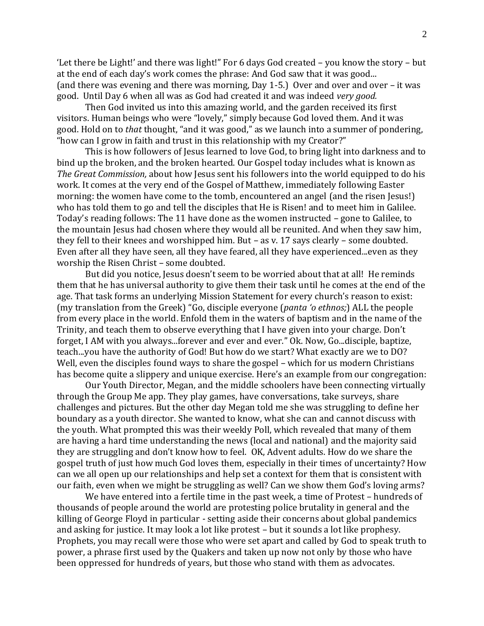'Let there be Light!' and there was light!" For 6 days God created – you know the story – but at the end of each day's work comes the phrase: And God saw that it was good... (and there was evening and there was morning, Day 1-5.) Over and over and over – it was good. Until Day 6 when all was as God had created it and was indeed *very good.*

Then God invited us into this amazing world, and the garden received its first visitors. Human beings who were "lovely," simply because God loved them. And it was good. Hold on to *that* thought, "and it was good," as we launch into a summer of pondering, "how can I grow in faith and trust in this relationship with my Creator?"

This is how followers of Jesus learned to love God, to bring light into darkness and to bind up the broken, and the broken hearted. Our Gospel today includes what is known as *The Great Commission,* about how Jesus sent his followers into the world equipped to do his work. It comes at the very end of the Gospel of Matthew, immediately following Easter morning: the women have come to the tomb, encountered an angel (and the risen Jesus!) who has told them to go and tell the disciples that He is Risen! and to meet him in Galilee. Today's reading follows: The 11 have done as the women instructed – gone to Galilee, to the mountain Jesus had chosen where they would all be reunited. And when they saw him, they fell to their knees and worshipped him. But – as v. 17 says clearly – some doubted. Even after all they have seen, all they have feared, all they have experienced...even as they worship the Risen Christ – some doubted.

But did you notice, Jesus doesn't seem to be worried about that at all! He reminds them that he has universal authority to give them their task until he comes at the end of the age. That task forms an underlying Mission Statement for every church's reason to exist: (my translation from the Greek) "Go, disciple everyone (*panta 'o ethnos;*) ALL the people from every place in the world. Enfold them in the waters of baptism and in the name of the Trinity, and teach them to observe everything that I have given into your charge. Don't forget, I AM with you always...forever and ever and ever." Ok. Now, Go...disciple, baptize, teach...you have the authority of God! But how do we start? What exactly are we to DO? Well, even the disciples found ways to share the gospel – which for us modern Christians has become quite a slippery and unique exercise. Here's an example from our congregation:

Our Youth Director, Megan, and the middle schoolers have been connecting virtually through the Group Me app. They play games, have conversations, take surveys, share challenges and pictures. But the other day Megan told me she was struggling to define her boundary as a youth director. She wanted to know, what she can and cannot discuss with the youth. What prompted this was their weekly Poll, which revealed that many of them are having a hard time understanding the news (local and national) and the majority said they are struggling and don't know how to feel. OK, Advent adults. How do we share the gospel truth of just how much God loves them, especially in their times of uncertainty? How can we all open up our relationships and help set a context for them that is consistent with our faith, even when we might be struggling as well? Can we show them God's loving arms?

We have entered into a fertile time in the past week, a time of Protest – hundreds of thousands of people around the world are protesting police brutality in general and the killing of George Floyd in particular - setting aside their concerns about global pandemics and asking for justice. It may look a lot like protest – but it sounds a lot like prophesy. Prophets, you may recall were those who were set apart and called by God to speak truth to power, a phrase first used by the Quakers and taken up now not only by those who have been oppressed for hundreds of years, but those who stand with them as advocates.